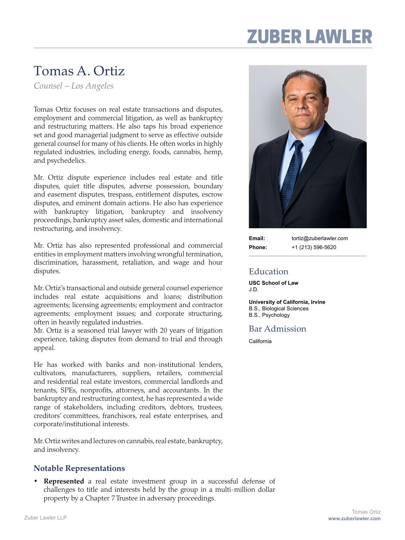# **ZUBER LAWLEI**

### Tomas A. Ortiz

*Counsel – Los Angeles* 

Tomas Ortiz focuses on real estate transactions and disputes, employment and commercial litigation, as well as bankruptcy and restructuring matters. He also taps his broad experience set and good managerial judgment to serve as effective outside general counsel for many of his clients. He often works in highly regulated industries, including energy, foods, cannabis, hemp, and psychedelics.

Mr. Ortiz dispute experience includes real estate and title disputes, quiet title disputes, adverse possession, boundary and easement disputes, trespass, entitlement disputes, escrow disputes, and eminent domain actions. He also has experience with bankruptcy litigation, bankruptcy and insolvency proceedings, bankruptcy asset sales, domestic and international restructuring, and insolvency.

Mr. Ortiz has also represented professional and commercial entities in employment matters involving wrongful termination, discrimination, harassment, retaliation, and wage and hour disputes.

Mr. Ortiz's transactional and outside general counsel experience includes real estate acquisitions and loans; distribution agreements; licensing agreements; employment and contractor agreements; employment issues; and corporate structuring, often in heavily regulated industries.

Mr. Ortiz is a seasoned trial lawyer with 20 years of litigation experience, taking disputes from demand to trial and through appeal.

He has worked with banks and non-institutional lenders, cultivators, manufacturers, suppliers, retailers, commercial and residential real estate investors, commercial landlords and tenants, SPEs, nonprofits, attorneys, and accountants. In the bankruptcy and restructuring context, he has represented a wide range of stakeholders, including creditors, debtors, trustees, creditors' committees, franchisors, real estate enterprises, and corporate/institutional interests.

Mr. Ortiz writes and lectures on cannabis, real estate, bankruptcy, and insolvency.

#### **Notable Representations**

**Represented** a real estate investment group in a successful defense of challenges to title and interests held by the group in a multi-million dollar property by a Chapter 7 Trustee in adversary proceedings.



**Email:** tortiz@zuberlawler.com **Phone:** +1 (213) 596-5620

### Education

**USC School of Law**  J.D.

**University of California, Irvine**  B.S., Biological Sciences B.S., Psychology

#### Bar Admission

California